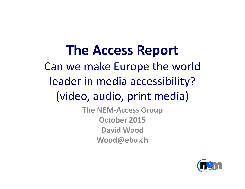## **The Access Report** Can we make Europe the world leader in media accessibility? (video, audio, print media)

**The NEM-Access Group October 2015 David Wood Wood@ebu.ch**

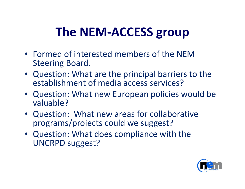# **The NEM-ACCESS group**

- Formed of interested members of the NEM Steering Board.
- Question: What are the principal barriers to the establishment of media access services?
- Question: What new European policies would be valuable?
- Question: What new areas for collaborative programs/projects could we suggest?
- Question: What does compliance with the UNCRPD suggest?

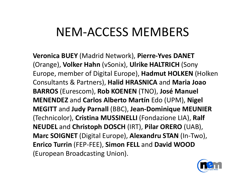#### NEM-ACCESS MEMBERS

**Veronica BUEY** (Madrid Network), **Pierre-Yves DANET** (Orange), **Volker Hahn** (vSonix), **Ulrike HALTRICH** (Sony Europe, member of Digital Europe), **Hadmut HOLKEN** (Holken Consultants & Partners), **Halid HRASNICA** and **Maria Joao BARROS** (Eurescom), **Rob KOENEN** (TNO), **José Manuel MENENDEZ** and **Carlos Alberto Martín** Edo (UPM), **Nigel MEGITT** and **Judy Parnall** (BBC), **Jean-Dominique MEUNIER** (Technicolor), **Cristina MUSSINELLI** (Fondazione LIA), **Ralf NEUDEL** and **Christoph DOSCH** (IRT), **Pilar ORERO** (UAB), **Marc SOIGNET** (Digital Europe), **Alexandru STAN** (In-Two), **Enrico Turrin** (FEP-FEE), **Simon FELL** and **David WOOD** (European Broadcasting Union).

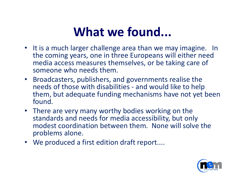#### **What we found...**

- It is a much larger challenge area than we may imagine. In the coming years, one in three Europeans will either need media access measures themselves, or be taking care of someone who needs them.
- Broadcasters, publishers, and governments realise the needs of those with disabilities - and would like to help them, but adequate funding mechanisms have not yet been found.
- There are very many worthy bodies working on the standards and needs for media accessibility, but only modest coordination between them. None will solve the problems alone.
- We produced a first edition draft report....

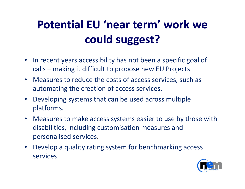### **Potential EU 'near term' work we could suggest?**

- In recent years accessibility has not been a specific goal of calls – making it difficult to propose new EU Projects
- Measures to reduce the costs of access services, such as automating the creation of access services.
- Developing systems that can be used across multiple platforms.
- Measures to make access systems easier to use by those with disabilities, including customisation measures and personalised services.
- Develop a quality rating system for benchmarking access services

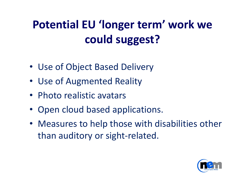### **Potential EU 'longer term' work we could suggest?**

- Use of Object Based Delivery
- Use of Augmented Reality
- Photo realistic avatars
- Open cloud based applications.
- Measures to help those with disabilities other than auditory or sight-related.

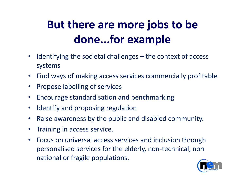### **But there are more jobs to be done...for example**

- Identifying the societal challenges the context of access systems
- Find ways of making access services commercially profitable.
- Propose labelling of services
- Encourage standardisation and benchmarking
- Identify and proposing regulation
- Raise awareness by the public and disabled community.
- Training in access service.
- Focus on universal access services and inclusion through personalised services for the elderly, non-technical, non national or fragile populations.

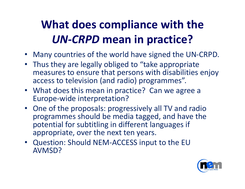#### **What does compliance with the**  *UN-CRPD* **mean in practice?**

- Many countries of the world have signed the UN-CRPD.
- Thus they are legally obliged to "take appropriate measures to ensure that persons with disabilities enjoy access to television (and radio) programmes".
- What does this mean in practice? Can we agree a Europe-wide interpretation?
- One of the proposals: progressively all TV and radio programmes should be media tagged, and have the potential for subtitling in different languages if appropriate, over the next ten years.
- Question: Should NEM-ACCESS input to the EU AVMSD?

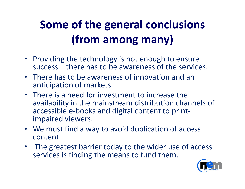## **Some of the general conclusions (from among many)**

- Providing the technology is not enough to ensure success – there has to be awareness of the services.
- There has to be awareness of innovation and an anticipation of markets.
- There is a need for investment to increase the availability in the mainstream distribution channels of accessible e-books and digital content to printimpaired viewers.
- We must find a way to avoid duplication of access content
- The greatest barrier today to the wider use of access services is finding the means to fund them.

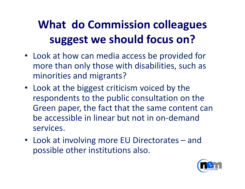### **What do Commission colleagues suggest we should focus on?**

- Look at how can media access be provided for more than only those with disabilities, such as minorities and migrants?
- Look at the biggest criticism voiced by the respondents to the public consultation on the Green paper, the fact that the same content can be accessible in linear but not in on-demand services.
- Look at involving more EU Directorates and possible other institutions also.

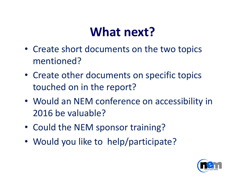## **What next?**

- Create short documents on the two topics mentioned?
- Create other documents on specific topics touched on in the report?
- Would an NEM conference on accessibility in 2016 be valuable?
- Could the NEM sponsor training?
- Would you like to help/participate?